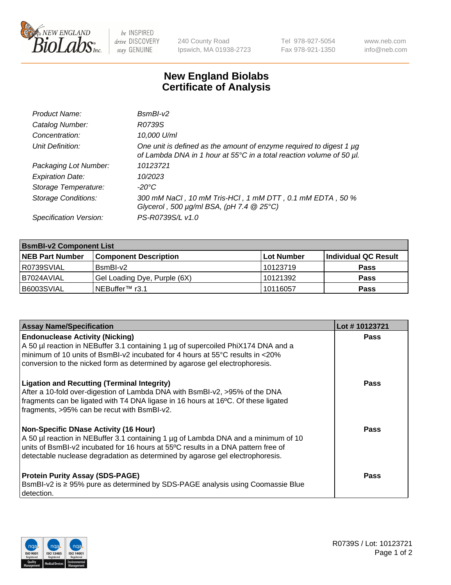

 $be$  INSPIRED drive DISCOVERY stay GENUINE

240 County Road Ipswich, MA 01938-2723 Tel 978-927-5054 Fax 978-921-1350 www.neb.com info@neb.com

## **New England Biolabs Certificate of Analysis**

| Product Name:              | $BsmBI-v2$                                                                                                                                  |
|----------------------------|---------------------------------------------------------------------------------------------------------------------------------------------|
| Catalog Number:            | R0739S                                                                                                                                      |
| Concentration:             | 10,000 U/ml                                                                                                                                 |
| Unit Definition:           | One unit is defined as the amount of enzyme required to digest 1 µg<br>of Lambda DNA in 1 hour at 55°C in a total reaction volume of 50 µl. |
| Packaging Lot Number:      | 10123721                                                                                                                                    |
| <b>Expiration Date:</b>    | 10/2023                                                                                                                                     |
| Storage Temperature:       | $-20^{\circ}$ C                                                                                                                             |
| <b>Storage Conditions:</b> | 300 mM NaCl, 10 mM Tris-HCl, 1 mM DTT, 0.1 mM EDTA, 50 %<br>Glycerol, 500 $\mu$ g/ml BSA, (pH 7.4 $@25°C$ )                                 |
| Specification Version:     | PS-R0739S/L v1.0                                                                                                                            |

| <b>BsmBI-v2 Component List</b> |                              |            |                      |  |  |
|--------------------------------|------------------------------|------------|----------------------|--|--|
| <b>NEB Part Number</b>         | <b>Component Description</b> | Lot Number | Individual QC Result |  |  |
| R0739SVIAL                     | BsmBI-v2                     | 10123719   | <b>Pass</b>          |  |  |
| I B7024AVIAL                   | Gel Loading Dye, Purple (6X) | 10121392   | <b>Pass</b>          |  |  |
| B6003SVIAL                     | INEBuffer™ r3.1              | 10116057   | <b>Pass</b>          |  |  |

| <b>Assay Name/Specification</b>                                                                                                                                                                                                                                                                         | Lot #10123721 |
|---------------------------------------------------------------------------------------------------------------------------------------------------------------------------------------------------------------------------------------------------------------------------------------------------------|---------------|
| <b>Endonuclease Activity (Nicking)</b><br>A 50 µl reaction in NEBuffer 3.1 containing 1 µg of supercoiled PhiX174 DNA and a<br>I minimum of 10 units of BsmBI-v2 incubated for 4 hours at 55 $\degree$ C results in <20%<br>conversion to the nicked form as determined by agarose gel electrophoresis. | <b>Pass</b>   |
| <b>Ligation and Recutting (Terminal Integrity)</b><br>After a 10-fold over-digestion of Lambda DNA with BsmBI-v2, >95% of the DNA<br>fragments can be ligated with T4 DNA ligase in 16 hours at 16°C. Of these ligated<br>fragments, >95% can be recut with BsmBI-v2.                                   | Pass          |
| Non-Specific DNase Activity (16 Hour)<br>A 50 µl reaction in NEBuffer 3.1 containing 1 µg of Lambda DNA and a minimum of 10<br>units of BsmBI-v2 incubated for 16 hours at 55°C results in a DNA pattern free of<br>detectable nuclease degradation as determined by agarose gel electrophoresis.       | <b>Pass</b>   |
| <b>Protein Purity Assay (SDS-PAGE)</b><br>BsmBI-v2 is ≥ 95% pure as determined by SDS-PAGE analysis using Coomassie Blue<br>l detection.                                                                                                                                                                | Pass          |